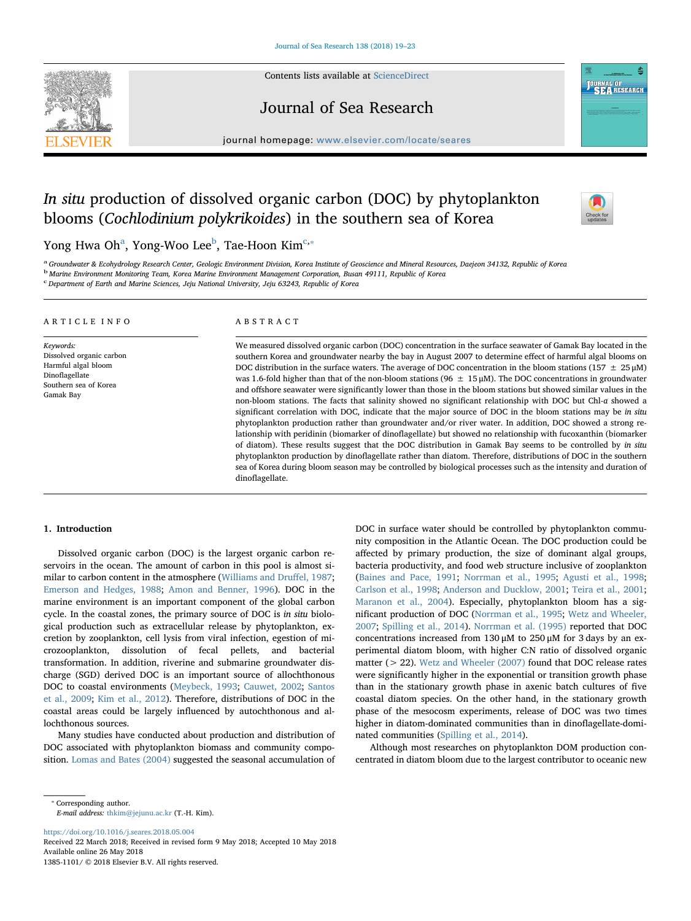Contents lists available at [ScienceDirect](http://www.sciencedirect.com/science/journal/13851101)



Journal of Sea Research

journal homepage: [www.elsevier.com/locate/seares](https://www.elsevier.com/locate/seares)

# In situ production of dissolved organic carbon (DOC) by phytoplankton blooms (Cochlodinium polykrikoides) in the southern sea of Korea



**JOURNAL OF**<br>SEARESEARCH

Yong Hw[a](#page-0-0) Oh $^{\rm a}$ , Yong-Woo Lee $^{\rm b}$  $^{\rm b}$  $^{\rm b}$ , Tae-Hoon Kim $^{\rm c, *}$ 

<span id="page-0-0"></span><sup>a</sup>Groundwater & Ecohydrology Research Center, Geologic Environment Division, Korea Institute of Geoscience and Mineral Resources, Daejeon 34132, Republic of Korea

<span id="page-0-1"></span><sup>b</sup> Marine Environment Monitoring Team, Korea Marine Environment Management Corporation, Busan 49111, Republic of Korea

<span id="page-0-2"></span>c Department of Earth and Marine Sciences, Jeju National University, Jeju 63243, Republic of Korea

### ARTICLE INFO

Keywords: Dissolved organic carbon Harmful algal bloom Dinoflagellate Southern sea of Korea Gamak Bay

## ABSTRACT

We measured dissolved organic carbon (DOC) concentration in the surface seawater of Gamak Bay located in the southern Korea and groundwater nearby the bay in August 2007 to determine effect of harmful algal blooms on DOC distribution in the surface waters. The average of DOC concentration in the bloom stations (157  $\pm$  25 µM) was 1.6-fold higher than that of the non-bloom stations (96  $\pm$  15 µM). The DOC concentrations in groundwater and offshore seawater were significantly lower than those in the bloom stations but showed similar values in the non-bloom stations. The facts that salinity showed no significant relationship with DOC but Chl-a showed a significant correlation with DOC, indicate that the major source of DOC in the bloom stations may be in situ phytoplankton production rather than groundwater and/or river water. In addition, DOC showed a strong relationship with peridinin (biomarker of dinoflagellate) but showed no relationship with fucoxanthin (biomarker of diatom). These results suggest that the DOC distribution in Gamak Bay seems to be controlled by in situ phytoplankton production by dinoflagellate rather than diatom. Therefore, distributions of DOC in the southern sea of Korea during bloom season may be controlled by biological processes such as the intensity and duration of dinoflagellate.

## 1. Introduction

Dissolved organic carbon (DOC) is the largest organic carbon reservoirs in the ocean. The amount of carbon in this pool is almost similar to carbon content in the atmosphere [\(Williams and Dru](#page-4-0)ffel, 1987; [Emerson and Hedges, 1988](#page-4-1); [Amon and Benner, 1996\)](#page-4-2). DOC in the marine environment is an important component of the global carbon cycle. In the coastal zones, the primary source of DOC is in situ biological production such as extracellular release by phytoplankton, excretion by zooplankton, cell lysis from viral infection, egestion of microzooplankton, dissolution of fecal pellets, and bacterial transformation. In addition, riverine and submarine groundwater discharge (SGD) derived DOC is an important source of allochthonous DOC to coastal environments ([Meybeck, 1993;](#page-4-3) [Cauwet, 2002](#page-4-4); [Santos](#page-4-5) [et al., 2009](#page-4-5); [Kim et al., 2012](#page-4-6)). Therefore, distributions of DOC in the coastal areas could be largely influenced by autochthonous and allochthonous sources.

Many studies have conducted about production and distribution of DOC associated with phytoplankton biomass and community composition. [Lomas and Bates \(2004\)](#page-4-7) suggested the seasonal accumulation of DOC in surface water should be controlled by phytoplankton community composition in the Atlantic Ocean. The DOC production could be affected by primary production, the size of dominant algal groups, bacteria productivity, and food web structure inclusive of zooplankton ([Baines and Pace, 1991](#page-4-8); [Norrman et al., 1995](#page-4-9); [Agusti et al., 1998](#page-4-10); [Carlson et al., 1998](#page-4-11); [Anderson and Ducklow, 2001](#page-4-12); [Teira et al., 2001](#page-4-13); [Maranon et al., 2004\)](#page-4-14). Especially, phytoplankton bloom has a significant production of DOC [\(Norrman et al., 1995;](#page-4-9) [Wetz and Wheeler,](#page-4-15) [2007;](#page-4-15) [Spilling et al., 2014\)](#page-4-16). [Norrman et al. \(1995\)](#page-4-9) reported that DOC concentrations increased from 130 μM to 250 μM for 3 days by an experimental diatom bloom, with higher C:N ratio of dissolved organic matter (> 22). [Wetz and Wheeler \(2007\)](#page-4-15) found that DOC release rates were significantly higher in the exponential or transition growth phase than in the stationary growth phase in axenic batch cultures of five coastal diatom species. On the other hand, in the stationary growth phase of the mesocosm experiments, release of DOC was two times higher in diatom-dominated communities than in dinoflagellate-dominated communities ([Spilling et al., 2014](#page-4-16)).

Although most researches on phytoplankton DOM production concentrated in diatom bloom due to the largest contributor to oceanic new

<span id="page-0-3"></span>⁎ Corresponding author.

E-mail address: [thkim@jejunu.ac.kr](mailto:thkim@jejunu.ac.kr) (T.-H. Kim).

<https://doi.org/10.1016/j.seares.2018.05.004>

Received 22 March 2018; Received in revised form 9 May 2018; Accepted 10 May 2018 Available online 26 May 2018 1385-1101/ © 2018 Elsevier B.V. All rights reserved.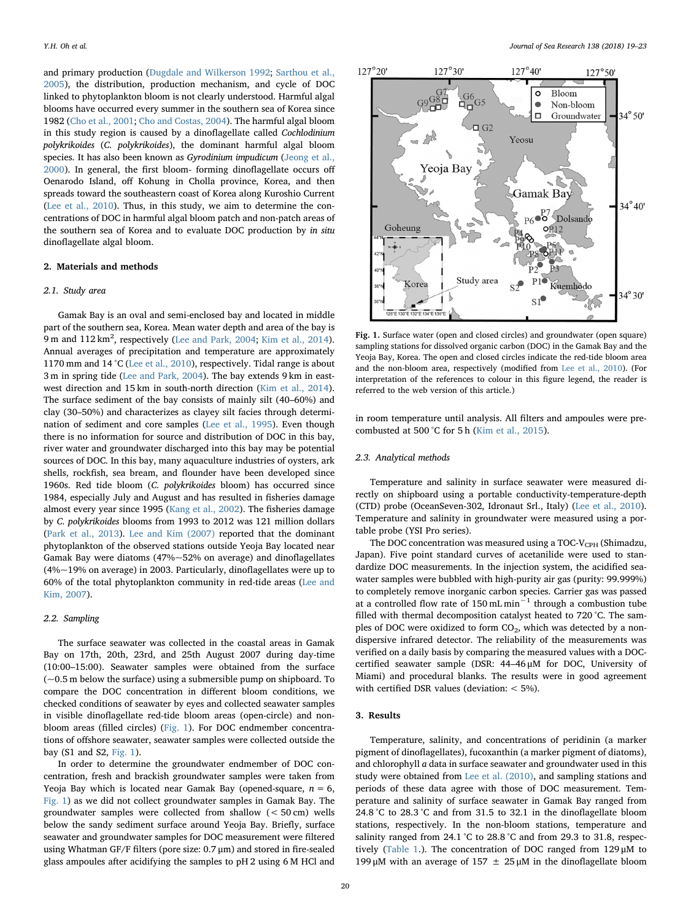and primary production ([Dugdale and Wilkerson 1992](#page-4-17); [Sarthou et al.,](#page-4-18) [2005\)](#page-4-18), the distribution, production mechanism, and cycle of DOC linked to phytoplankton bloom is not clearly understood. Harmful algal blooms have occurred every summer in the southern sea of Korea since 1982 [\(Cho et al., 2001;](#page-4-19) [Cho and Costas, 2004](#page-4-20)). The harmful algal bloom in this study region is caused by a dinoflagellate called Cochlodinium polykrikoides (C. polykrikoides), the dominant harmful algal bloom species. It has also been known as Gyrodinium impudicum [\(Jeong et al.,](#page-4-21) [2000\)](#page-4-21). In general, the first bloom- forming dinoflagellate occurs off Oenarodo Island, off Kohung in Cholla province, Korea, and then spreads toward the southeastern coast of Korea along Kuroshio Current ([Lee et al., 2010\)](#page-4-22). Thus, in this study, we aim to determine the concentrations of DOC in harmful algal bloom patch and non-patch areas of the southern sea of Korea and to evaluate DOC production by in situ dinoflagellate algal bloom.

# 2. Materials and methods

#### 2.1. Study area

Gamak Bay is an oval and semi-enclosed bay and located in middle part of the southern sea, Korea. Mean water depth and area of the bay is 9 m and 112 km<sup>2</sup>, respectively [\(Lee and Park, 2004;](#page-4-23) [Kim et al., 2014](#page-4-24)). Annual averages of precipitation and temperature are approximately 1170 mm and 14 °C [\(Lee et al., 2010](#page-4-22)), respectively. Tidal range is about 3 m in spring tide ([Lee and Park, 2004\)](#page-4-23). The bay extends 9 km in eastwest direction and 15 km in south-north direction [\(Kim et al., 2014](#page-4-24)). The surface sediment of the bay consists of mainly silt (40–60%) and clay (30–50%) and characterizes as clayey silt facies through determination of sediment and core samples ([Lee et al., 1995\)](#page-4-25). Even though there is no information for source and distribution of DOC in this bay, river water and groundwater discharged into this bay may be potential sources of DOC. In this bay, many aquaculture industries of oysters, ark shells, rockfish, sea bream, and flounder have been developed since 1960s. Red tide bloom (C. polykrikoides bloom) has occurred since 1984, especially July and August and has resulted in fisheries damage almost every year since 1995 [\(Kang et al., 2002](#page-4-26)). The fisheries damage by C. polykrikoides blooms from 1993 to 2012 was 121 million dollars ([Park et al., 2013\)](#page-4-27). [Lee and Kim \(2007\)](#page-4-28) reported that the dominant phytoplankton of the observed stations outside Yeoja Bay located near Gamak Bay were diatoms (47%~52% on average) and dinoflagellates (4%~19% on average) in 2003. Particularly, dinoflagellates were up to 60% of the total phytoplankton community in red-tide areas ([Lee and](#page-4-28) [Kim, 2007\)](#page-4-28).

# 2.2. Sampling

The surface seawater was collected in the coastal areas in Gamak Bay on 17th, 20th, 23rd, and 25th August 2007 during day-time (10:00–15:00). Seawater samples were obtained from the surface ( $\sim$ 0.5 m below the surface) using a submersible pump on shipboard. To compare the DOC concentration in different bloom conditions, we checked conditions of seawater by eyes and collected seawater samples in visible dinoflagellate red-tide bloom areas (open-circle) and nonbloom areas (filled circles) ([Fig. 1\)](#page-1-0). For DOC endmember concentrations of offshore seawater, seawater samples were collected outside the bay (S1 and S2, [Fig. 1\)](#page-1-0).

In order to determine the groundwater endmember of DOC concentration, fresh and brackish groundwater samples were taken from Yeoja Bay which is located near Gamak Bay (opened-square,  $n = 6$ , [Fig. 1](#page-1-0)) as we did not collect groundwater samples in Gamak Bay. The groundwater samples were collected from shallow (< 50 cm) wells below the sandy sediment surface around Yeoja Bay. Briefly, surface seawater and groundwater samples for DOC measurement were filtered using Whatman GF/F filters (pore size: 0.7 μm) and stored in fire-sealed glass ampoules after acidifying the samples to pH 2 using 6 M HCl and

<span id="page-1-0"></span>

Fig. 1. Surface water (open and closed circles) and groundwater (open square) sampling stations for dissolved organic carbon (DOC) in the Gamak Bay and the Yeoja Bay, Korea. The open and closed circles indicate the red-tide bloom area and the non-bloom area, respectively (modified from [Lee et al., 2010\)](#page-4-22). (For interpretation of the references to colour in this figure legend, the reader is referred to the web version of this article.)

in room temperature until analysis. All filters and ampoules were precombusted at 500 °C for 5 h ([Kim et al., 2015\)](#page-4-29).

# 2.3. Analytical methods

Temperature and salinity in surface seawater were measured directly on shipboard using a portable conductivity-temperature-depth (CTD) probe (OceanSeven-302, Idronaut Srl., Italy) [\(Lee et al., 2010](#page-4-22)). Temperature and salinity in groundwater were measured using a portable probe (YSI Pro series).

The DOC concentration was measured using a TOC-V<sub>CPH</sub> (Shimadzu, Japan). Five point standard curves of acetanilide were used to standardize DOC measurements. In the injection system, the acidified seawater samples were bubbled with high-purity air gas (purity: 99.999%) to completely remove inorganic carbon species. Carrier gas was passed at a controlled flow rate of 150 mL min<sup> $-1$ </sup> through a combustion tube filled with thermal decomposition catalyst heated to 720 °C. The samples of DOC were oxidized to form CO<sub>2</sub>, which was detected by a nondispersive infrared detector. The reliability of the measurements was verified on a daily basis by comparing the measured values with a DOCcertified seawater sample (DSR: 44–46 μM for DOC, University of Miami) and procedural blanks. The results were in good agreement with certified DSR values (deviation: < 5%).

## 3. Results

Temperature, salinity, and concentrations of peridinin (a marker pigment of dinoflagellates), fucoxanthin (a marker pigment of diatoms), and chlorophyll a data in surface seawater and groundwater used in this study were obtained from [Lee et al. \(2010\),](#page-4-22) and sampling stations and periods of these data agree with those of DOC measurement. Temperature and salinity of surface seawater in Gamak Bay ranged from 24.8 °C to 28.3 °C and from 31.5 to 32.1 in the dinoflagellate bloom stations, respectively. In the non-bloom stations, temperature and salinity ranged from 24.1 °C to 28.8 °C and from 29.3 to 31.8, respectively [\(Table 1.](#page-2-0)). The concentration of DOC ranged from 129 μM to 199 μM with an average of 157  $\pm$  25 μM in the dinoflagellate bloom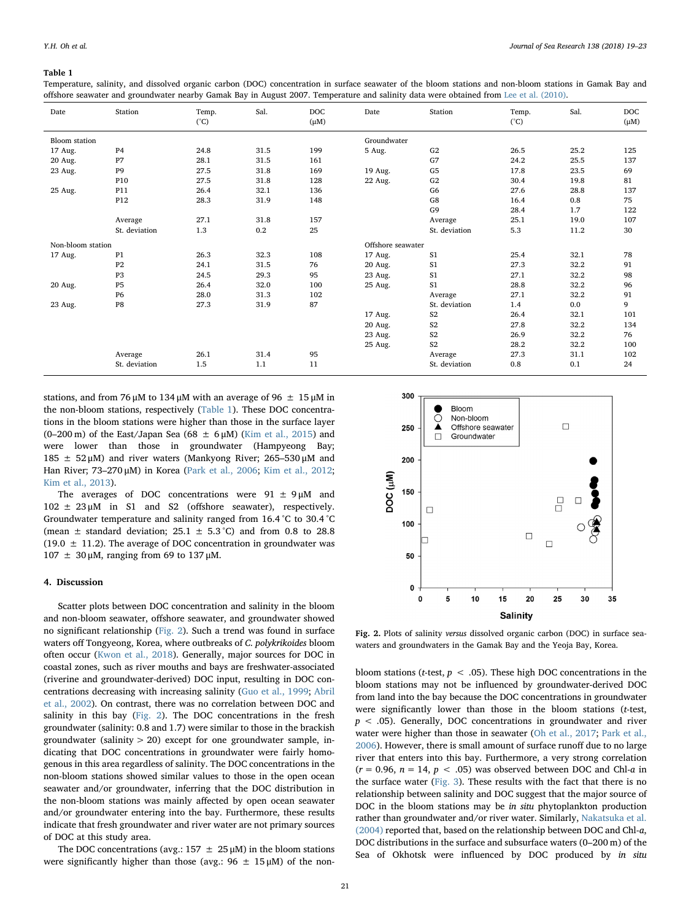### <span id="page-2-0"></span>Table 1

Temperature, salinity, and dissolved organic carbon (DOC) concentration in surface seawater of the bloom stations and non-bloom stations in Gamak Bay and offshore seawater and groundwater nearby Gamak Bay in August 2007. Temperature and salinity data were obtained from [Lee et al. \(2010\)](#page-4-22).

| Date                 | Station         | Temp.<br>$(^{\circ}C)$ | Sal. | <b>DOC</b><br>$(\mu M)$ | Date        | Station        | Temp.<br>$(^{\circ}C)$ | Sal. | <b>DOC</b><br>$(\mu M)$ |
|----------------------|-----------------|------------------------|------|-------------------------|-------------|----------------|------------------------|------|-------------------------|
| <b>Bloom</b> station |                 |                        |      |                         | Groundwater |                |                        |      |                         |
| 17 Aug.              | P <sub>4</sub>  | 24.8                   | 31.5 | 199                     | 5 Aug.      | G2             | 26.5                   | 25.2 | 125                     |
| 20 Aug.              | P7              | 28.1                   | 31.5 | 161                     |             | G7             | 24.2                   | 25.5 | 137                     |
| 23 Aug.              | P <sub>9</sub>  | 27.5                   | 31.8 | 169                     | 19 Aug.     | G <sub>5</sub> | 17.8                   | 23.5 | 69                      |
|                      | P <sub>10</sub> | 27.5                   | 31.8 | 128                     | 22 Aug.     | G2             | 30.4                   | 19.8 | 81                      |
| 25 Aug.              | P11             | 26.4                   | 32.1 | 136                     |             | G <sub>6</sub> | 27.6                   | 28.8 | 137                     |
|                      | P <sub>12</sub> | 28.3                   | 31.9 | 148                     |             | G8             | 16.4                   | 0.8  | 75                      |
|                      |                 |                        |      |                         |             | G <sub>9</sub> | 28.4                   | 1.7  | 122                     |
|                      | Average         | 27.1                   | 31.8 | 157                     |             | Average        | 25.1                   | 19.0 | 107                     |
|                      | St. deviation   | 1.3                    | 0.2  | 25                      |             | St. deviation  | 5.3                    | 11.2 | 30                      |
| Non-bloom station    |                 |                        |      | Offshore seawater       |             |                |                        |      |                         |
| 17 Aug.              | P1              | 26.3                   | 32.3 | 108                     | 17 Aug.     | S <sub>1</sub> | 25.4                   | 32.1 | 78                      |
|                      | P <sub>2</sub>  | 24.1                   | 31.5 | 76                      | 20 Aug.     | S <sub>1</sub> | 27.3                   | 32.2 | 91                      |
|                      | P <sub>3</sub>  | 24.5                   | 29.3 | 95                      | 23 Aug.     | S <sub>1</sub> | 27.1                   | 32.2 | 98                      |
| 20 Aug.              | <b>P5</b>       | 26.4                   | 32.0 | 100                     | 25 Aug.     | S <sub>1</sub> | 28.8                   | 32.2 | 96                      |
|                      | <b>P6</b>       | 28.0                   | 31.3 | 102                     |             | Average        | 27.1                   | 32.2 | 91                      |
| 23 Aug.              | P8              | 27.3                   | 31.9 | 87                      |             | St. deviation  | 1.4                    | 0.0  | 9                       |
|                      |                 |                        |      |                         | 17 Aug.     | S <sub>2</sub> | 26.4                   | 32.1 | 101                     |
|                      |                 |                        |      |                         | 20 Aug.     | S <sub>2</sub> | 27.8                   | 32.2 | 134                     |
|                      |                 |                        |      |                         | 23 Aug.     | S <sub>2</sub> | 26.9                   | 32.2 | 76                      |
|                      |                 |                        |      |                         | 25 Aug.     | S <sub>2</sub> | 28.2                   | 32.2 | 100                     |
|                      | Average         | 26.1                   | 31.4 | 95                      |             | Average        | 27.3                   | 31.1 | 102                     |
|                      | St. deviation   | 1.5                    | 1.1  | 11                      |             | St. deviation  | 0.8                    | 0.1  | 24                      |

stations, and from 76 μM to 134 μM with an average of 96  $\pm$  15 μM in the non-bloom stations, respectively [\(Table 1\)](#page-2-0). These DOC concentrations in the bloom stations were higher than those in the surface layer (0–200 m) of the East/Japan Sea (68  $\pm$  6  $\mu$ M) ([Kim et al., 2015\)](#page-4-29) and were lower than those in groundwater (Hampyeong Bay; 185  $±$  52 μM) and river waters (Mankyong River; 265-530 μM and Han River; 73–270 μM) in Korea [\(Park et al., 2006](#page-4-30); [Kim et al., 2012](#page-4-6); [Kim et al., 2013](#page-4-31)).

The averages of DOC concentrations were  $91 \pm 9 \mu$ M and  $102 \pm 23 \mu$ M in S1 and S2 (offshore seawater), respectively. Groundwater temperature and salinity ranged from 16.4 °C to 30.4 °C (mean  $\pm$  standard deviation; 25.1  $\pm$  5.3 °C) and from 0.8 to 28.8 (19.0  $\pm$  11.2). The average of DOC concentration in groundwater was  $107 \pm 30 \mu$ M, ranging from 69 to 137  $\mu$ M.

#### 4. Discussion

Scatter plots between DOC concentration and salinity in the bloom and non-bloom seawater, offshore seawater, and groundwater showed no significant relationship ([Fig. 2](#page-2-1)). Such a trend was found in surface waters off Tongyeong, Korea, where outbreaks of C. polykrikoides bloom often occur [\(Kwon et al., 2018\)](#page-4-32). Generally, major sources for DOC in coastal zones, such as river mouths and bays are freshwater-associated (riverine and groundwater-derived) DOC input, resulting in DOC concentrations decreasing with increasing salinity [\(Guo et al., 1999](#page-4-33); [Abril](#page-4-34) [et al., 2002\)](#page-4-34). On contrast, there was no correlation between DOC and salinity in this bay [\(Fig. 2](#page-2-1)). The DOC concentrations in the fresh groundwater (salinity: 0.8 and 1.7) were similar to those in the brackish groundwater (salinity  $> 20$ ) except for one groundwater sample, indicating that DOC concentrations in groundwater were fairly homogenous in this area regardless of salinity. The DOC concentrations in the non-bloom stations showed similar values to those in the open ocean seawater and/or groundwater, inferring that the DOC distribution in the non-bloom stations was mainly affected by open ocean seawater and/or groundwater entering into the bay. Furthermore, these results indicate that fresh groundwater and river water are not primary sources of DOC at this study area.

The DOC concentrations (avg.:  $157 \pm 25 \mu$ M) in the bloom stations were significantly higher than those (avg.:  $96 \pm 15 \mu M$ ) of the non-

<span id="page-2-1"></span>

Fig. 2. Plots of salinity versus dissolved organic carbon (DOC) in surface seawaters and groundwaters in the Gamak Bay and the Yeoja Bay, Korea.

bloom stations (t-test,  $p < .05$ ). These high DOC concentrations in the bloom stations may not be influenced by groundwater-derived DOC from land into the bay because the DOC concentrations in groundwater were significantly lower than those in the bloom stations (t-test,  $p < .05$ ). Generally, DOC concentrations in groundwater and river water were higher than those in seawater [\(Oh et al., 2017](#page-4-35); [Park et al.,](#page-4-30) [2006\)](#page-4-30). However, there is small amount of surface runoff due to no large river that enters into this bay. Furthermore, a very strong correlation  $(r = 0.96, n = 14, p < .05)$  was observed between DOC and Chl-a in the surface water ([Fig. 3](#page-3-0)). These results with the fact that there is no relationship between salinity and DOC suggest that the major source of DOC in the bloom stations may be *in situ* phytoplankton production rather than groundwater and/or river water. Similarly, [Nakatsuka et al.](#page-4-36) [\(2004\)](#page-4-36) reported that, based on the relationship between DOC and Chl-a, DOC distributions in the surface and subsurface waters (0–200 m) of the Sea of Okhotsk were influenced by DOC produced by in situ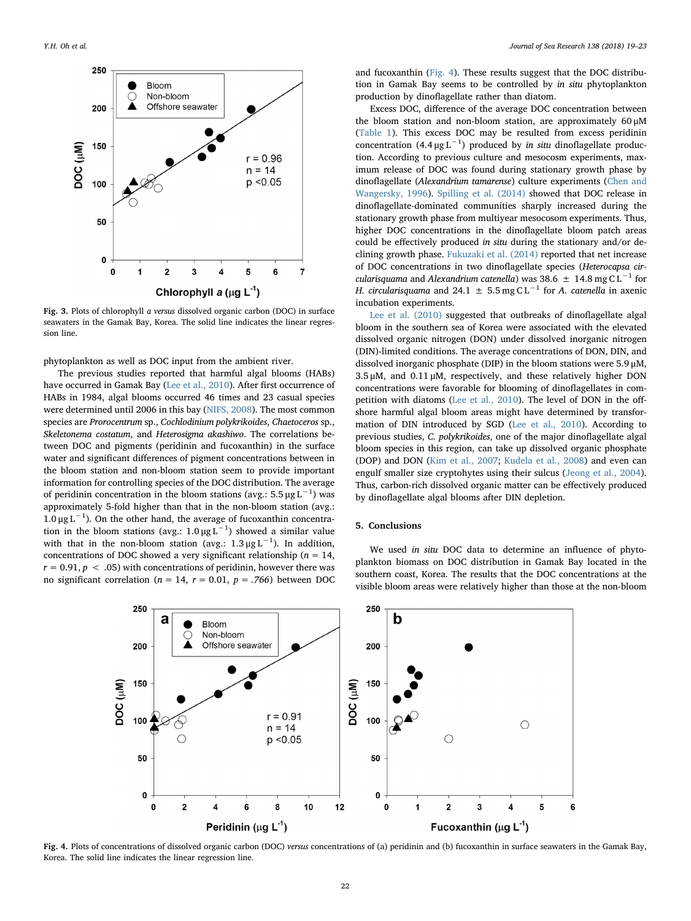<span id="page-3-0"></span>

Fig. 3. Plots of chlorophyll a versus dissolved organic carbon (DOC) in surface seawaters in the Gamak Bay, Korea. The solid line indicates the linear regression line.

phytoplankton as well as DOC input from the ambient river.

The previous studies reported that harmful algal blooms (HABs) have occurred in Gamak Bay ([Lee et al., 2010\)](#page-4-22). After first occurrence of HABs in 1984, algal blooms occurred 46 times and 23 casual species were determined until 2006 in this bay [\(NIFS, 2008](#page-4-37)). The most common species are Prorocentrum sp., Cochlodinium polykrikoides, Chaetoceros sp., Skeletonema costatum, and Heterosigma akashiwo. The correlations between DOC and pigments (peridinin and fucoxanthin) in the surface water and significant differences of pigment concentrations between in the bloom station and non-bloom station seem to provide important information for controlling species of the DOC distribution. The average of peridinin concentration in the bloom stations (avg.: 5.5 μg  $\text{L}^{-1}$ ) was approximately 5-fold higher than that in the non-bloom station (avg.: 1.0 μg L<sup>-1</sup>). On the other hand, the average of fucoxanthin concentration in the bloom stations (avg.:  $1.0 \mu g L^{-1}$ ) showed a similar value with that in the non-bloom station (avg.:  $1.3 \mu g L^{-1}$ ). In addition, concentrations of DOC showed a very significant relationship ( $n = 14$ ,  $r = 0.91$ ,  $p < .05$ ) with concentrations of peridinin, however there was no significant correlation ( $n = 14$ ,  $r = 0.01$ ,  $p = .766$ ) between DOC and fucoxanthin ([Fig. 4](#page-3-1)). These results suggest that the DOC distribution in Gamak Bay seems to be controlled by in situ phytoplankton production by dinoflagellate rather than diatom.

Excess DOC, difference of the average DOC concentration between the bloom station and non-bloom station, are approximately 60 μM ([Table 1\)](#page-2-0). This excess DOC may be resulted from excess peridinin concentration  $(4.4 \mu g L^{-1})$  produced by *in situ* dinoflagellate production. According to previous culture and mesocosm experiments, maximum release of DOC was found during stationary growth phase by dinoflagellate (Alexandrium tamarense) culture experiments ([Chen and](#page-4-38) [Wangersky, 1996\)](#page-4-38). [Spilling et al. \(2014\)](#page-4-16) showed that DOC release in dinoflagellate-dominated communities sharply increased during the stationary growth phase from multiyear mesocosom experiments. Thus, higher DOC concentrations in the dinoflagellate bloom patch areas could be effectively produced in situ during the stationary and/or declining growth phase. [Fukuzaki et al. \(2014\)](#page-4-39) reported that net increase of DOC concentrations in two dinoflagellate species (Heterocapsa circularisquama and Alexandrium catenella) was 38.6  $\pm$  14.8 mg C L<sup>-1</sup> for H. circularisquama and 24.1  $\pm$  5.5 mg C L<sup>-1</sup> for A. catenella in axenic incubation experiments.

[Lee et al. \(2010\)](#page-4-22) suggested that outbreaks of dinoflagellate algal bloom in the southern sea of Korea were associated with the elevated dissolved organic nitrogen (DON) under dissolved inorganic nitrogen (DIN)-limited conditions. The average concentrations of DON, DIN, and dissolved inorganic phosphate (DIP) in the bloom stations were 5.9 μM, 3.5 μM, and 0.11 μM, respectively, and these relatively higher DON concentrations were favorable for blooming of dinoflagellates in competition with diatoms [\(Lee et al., 2010\)](#page-4-22). The level of DON in the offshore harmful algal bloom areas might have determined by transformation of DIN introduced by SGD ([Lee et al., 2010](#page-4-22)). According to previous studies, C. polykrikoides, one of the major dinoflagellate algal bloom species in this region, can take up dissolved organic phosphate (DOP) and DON ([Kim et al., 2007;](#page-4-40) [Kudela et al., 2008\)](#page-4-41) and even can engulf smaller size cryptohytes using their sulcus ([Jeong et al., 2004](#page-4-42)). Thus, carbon-rich dissolved organic matter can be effectively produced by dinoflagellate algal blooms after DIN depletion.

# 5. Conclusions

We used in situ DOC data to determine an influence of phytoplankton biomass on DOC distribution in Gamak Bay located in the southern coast, Korea. The results that the DOC concentrations at the visible bloom areas were relatively higher than those at the non-bloom

<span id="page-3-1"></span>

Fig. 4. Plots of concentrations of dissolved organic carbon (DOC) versus concentrations of (a) peridinin and (b) fucoxanthin in surface seawaters in the Gamak Bay, Korea. The solid line indicates the linear regression line.